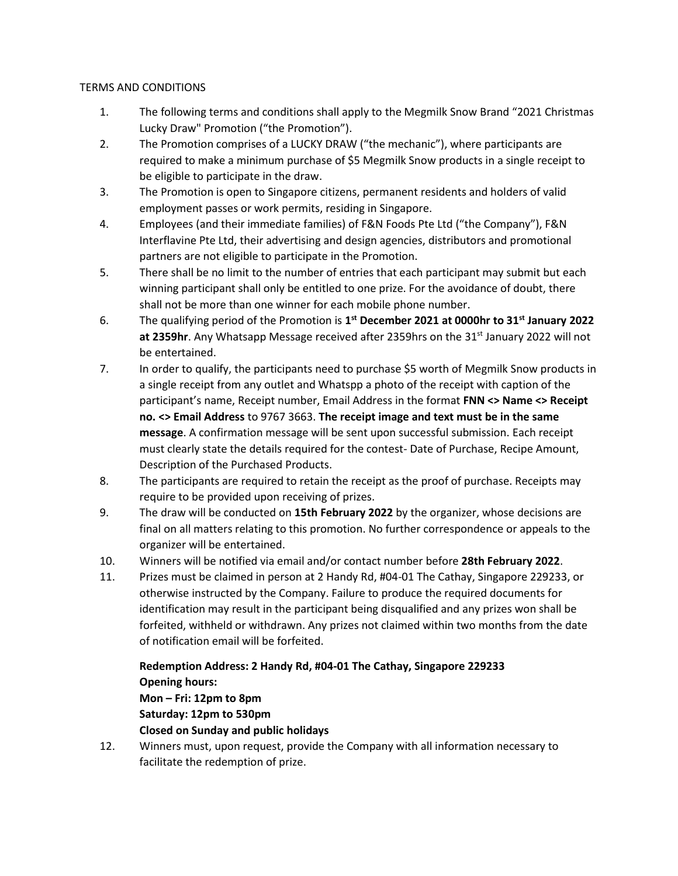## TERMS AND CONDITIONS

- 1. The following terms and conditions shall apply to the Megmilk Snow Brand "2021 Christmas Lucky Draw" Promotion ("the Promotion").
- 2. The Promotion comprises of a LUCKY DRAW ("the mechanic"), where participants are required to make a minimum purchase of \$5 Megmilk Snow products in a single receipt to be eligible to participate in the draw.
- 3. The Promotion is open to Singapore citizens, permanent residents and holders of valid employment passes or work permits, residing in Singapore.
- 4. Employees (and their immediate families) of F&N Foods Pte Ltd ("the Company"), F&N Interflavine Pte Ltd, their advertising and design agencies, distributors and promotional partners are not eligible to participate in the Promotion.
- 5. There shall be no limit to the number of entries that each participant may submit but each winning participant shall only be entitled to one prize. For the avoidance of doubt, there shall not be more than one winner for each mobile phone number.
- 6. The qualifying period of the Promotion is **1 st December 2021 at 0000hr to 31st January 2022** at 2359hr. Any Whatsapp Message received after 2359hrs on the 31<sup>st</sup> January 2022 will not be entertained.
- 7. In order to qualify, the participants need to purchase \$5 worth of Megmilk Snow products in a single receipt from any outlet and Whatspp a photo of the receipt with caption of the participant's name, Receipt number, Email Address in the format **FNN <> Name <> Receipt no. <> Email Address** to 9767 3663. **The receipt image and text must be in the same message**. A confirmation message will be sent upon successful submission. Each receipt must clearly state the details required for the contest- Date of Purchase, Recipe Amount, Description of the Purchased Products.
- 8. The participants are required to retain the receipt as the proof of purchase. Receipts may require to be provided upon receiving of prizes.
- 9. The draw will be conducted on **15th February 2022** by the organizer, whose decisions are final on all matters relating to this promotion. No further correspondence or appeals to the organizer will be entertained.
- 10. Winners will be notified via email and/or contact number before **28th February 2022**.
- 11. Prizes must be claimed in person at 2 Handy Rd, #04-01 The Cathay, Singapore 229233, or otherwise instructed by the Company. Failure to produce the required documents for identification may result in the participant being disqualified and any prizes won shall be forfeited, withheld or withdrawn. Any prizes not claimed within two months from the date of notification email will be forfeited.

## **Redemption Address: 2 Handy Rd, #04-01 The Cathay, Singapore 229233 Opening hours:**

## **Mon – Fri: 12pm to 8pm Saturday: 12pm to 530pm Closed on Sunday and public holidays**

12. Winners must, upon request, provide the Company with all information necessary to facilitate the redemption of prize.